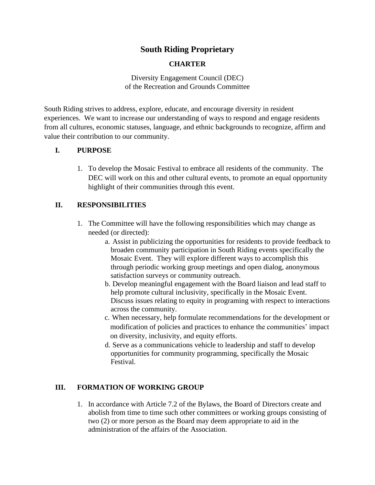# **South Riding Proprietary**

### **CHARTER**

Diversity Engagement Council (DEC) of the Recreation and Grounds Committee

South Riding strives to address, explore, educate, and encourage diversity in resident experiences. We want to increase our understanding of ways to respond and engage residents from all cultures, economic statuses, language, and ethnic backgrounds to recognize, affirm and value their contribution to our community.

### **I. PURPOSE**

1. To develop the Mosaic Festival to embrace all residents of the community. The DEC will work on this and other cultural events, to promote an equal opportunity highlight of their communities through this event.

### **II. RESPONSIBILITIES**

- 1. The Committee will have the following responsibilities which may change as needed (or directed):
	- a. Assist in publicizing the opportunities for residents to provide feedback to broaden community participation in South Riding events specifically the Mosaic Event. They will explore different ways to accomplish this through periodic working group meetings and open dialog, anonymous satisfaction surveys or community outreach.
	- b. Develop meaningful engagement with the Board liaison and lead staff to help promote cultural inclusivity, specifically in the Mosaic Event. Discuss issues relating to equity in programing with respect to interactions across the community.
	- c. When necessary, help formulate recommendations for the development or modification of policies and practices to enhance the communities' impact on diversity, inclusivity, and equity efforts.
	- d. Serve as a communications vehicle to leadership and staff to develop opportunities for community programming, specifically the Mosaic Festival.

## **III. FORMATION OF WORKING GROUP**

1. In accordance with Article 7.2 of the Bylaws, the Board of Directors create and abolish from time to time such other committees or working groups consisting of two (2) or more person as the Board may deem appropriate to aid in the administration of the affairs of the Association.